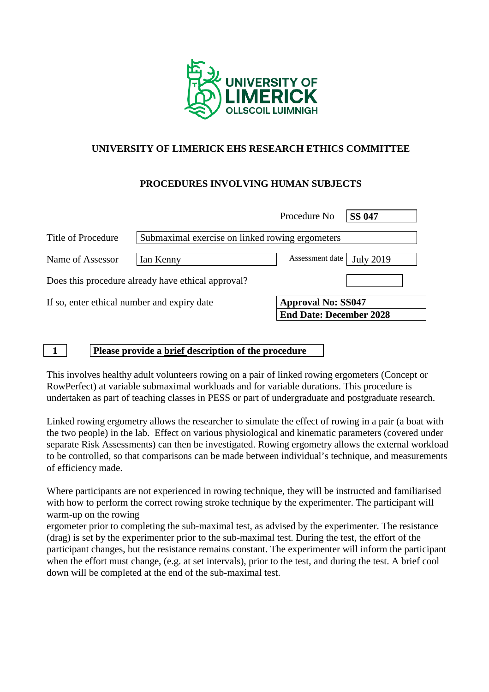

## **UNIVERSITY OF LIMERICK EHS RESEARCH ETHICS COMMITTEE**

### **PROCEDURES INVOLVING HUMAN SUBJECTS**

|                    |                                                    | Procedure No              | <b>SS 047</b>    |
|--------------------|----------------------------------------------------|---------------------------|------------------|
| Title of Procedure | Submaximal exercise on linked rowing ergometers    |                           |                  |
| Name of Assessor   | Ian Kenny                                          | Assessment date           | <b>July 2019</b> |
|                    | Does this procedure already have ethical approval? |                           |                  |
|                    |                                                    |                           |                  |
|                    | If so, enter ethical number and expiry date        | <b>Approval No: SS047</b> |                  |

#### **1 Please provide a brief description of the procedure**

This involves healthy adult volunteers rowing on a pair of linked rowing ergometers (Concept or RowPerfect) at variable submaximal workloads and for variable durations. This procedure is undertaken as part of teaching classes in PESS or part of undergraduate and postgraduate research.

Linked rowing ergometry allows the researcher to simulate the effect of rowing in a pair (a boat with the two people) in the lab. Effect on various physiological and kinematic parameters (covered under separate Risk Assessments) can then be investigated. Rowing ergometry allows the external workload to be controlled, so that comparisons can be made between individual's technique, and measurements of efficiency made.

Where participants are not experienced in rowing technique, they will be instructed and familiarised with how to perform the correct rowing stroke technique by the experimenter. The participant will warm-up on the rowing

ergometer prior to completing the sub-maximal test, as advised by the experimenter. The resistance (drag) is set by the experimenter prior to the sub-maximal test. During the test, the effort of the participant changes, but the resistance remains constant. The experimenter will inform the participant when the effort must change, (e.g. at set intervals), prior to the test, and during the test. A brief cool down will be completed at the end of the sub-maximal test.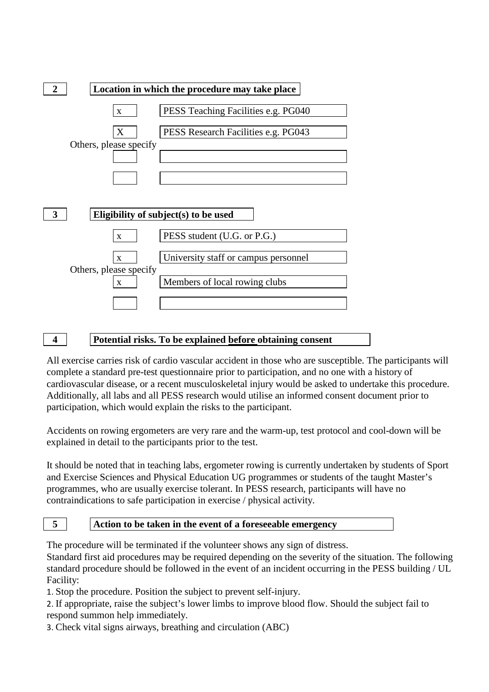

### **4 Potential risks. To be explained before obtaining consent**

All exercise carries risk of cardio vascular accident in those who are susceptible. The participants will complete a standard pre-test questionnaire prior to participation, and no one with a history of cardiovascular disease, or a recent musculoskeletal injury would be asked to undertake this procedure. Additionally, all labs and all PESS research would utilise an informed consent document prior to participation, which would explain the risks to the participant.

Accidents on rowing ergometers are very rare and the warm-up, test protocol and cool-down will be explained in detail to the participants prior to the test.

It should be noted that in teaching labs, ergometer rowing is currently undertaken by students of Sport and Exercise Sciences and Physical Education UG programmes or students of the taught Master's programmes, who are usually exercise tolerant. In PESS research, participants will have no contraindications to safe participation in exercise / physical activity.

#### **5 Action to be taken in the event of a foreseeable emergency**

The procedure will be terminated if the volunteer shows any sign of distress.

Standard first aid procedures may be required depending on the severity of the situation. The following standard procedure should be followed in the event of an incident occurring in the PESS building / UL Facility:

1. Stop the procedure. Position the subject to prevent self-injury.

2. If appropriate, raise the subject's lower limbs to improve blood flow. Should the subject fail to respond summon help immediately.

3. Check vital signs airways, breathing and circulation (ABC)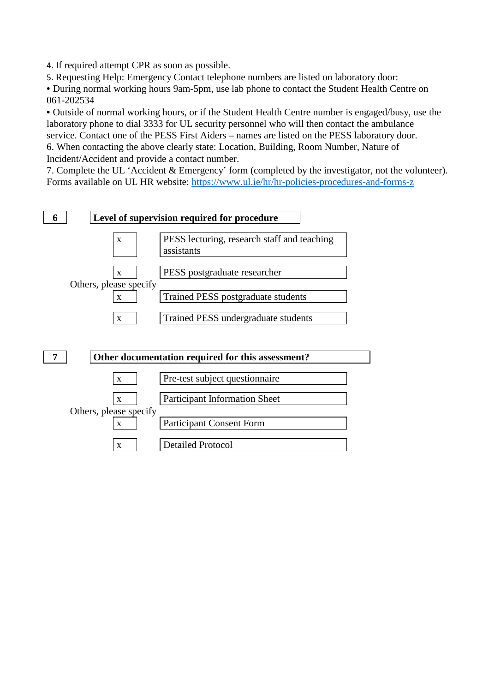4. If required attempt CPR as soon as possible.

5. Requesting Help: Emergency Contact telephone numbers are listed on laboratory door:

• During normal working hours 9am-5pm, use lab phone to contact the Student Health Centre on 061-202534

• Outside of normal working hours, or if the Student Health Centre number is engaged/busy, use the laboratory phone to dial 3333 for UL security personnel who will then contact the ambulance service. Contact one of the PESS First Aiders – names are listed on the PESS laboratory door. 6. When contacting the above clearly state: Location, Building, Room Number, Nature of Incident/Accident and provide a contact number.

7. Complete the UL 'Accident & Emergency' form (completed by the investigator, not the volunteer). Forms available on UL HR website:<https://www.ul.ie/hr/hr-policies-procedures-and-forms-z>